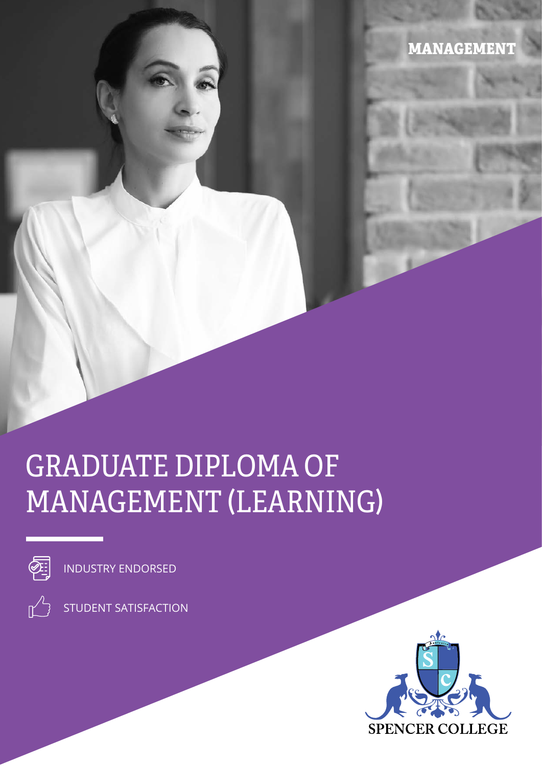MANAGEMENT

# GRADUATE DIPLOMA OF MANAGEMENT (LEARNING)



INDUSTRY ENDORSED

STUDENT SATISFACTION